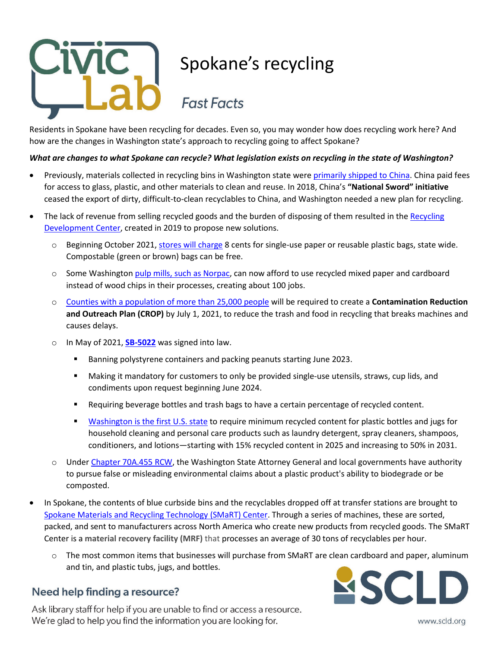

# Spokane's recycling

## **Fast Facts**

Residents in Spokane have been recycling for decades. Even so, you may wonder how does recycling work here? And how are the changes in Washington state's approach to recycling going to affect Spokane?

### *What are changes to what Spokane can recycle? What legislation exists on recycling in the state of Washington?*

- Previously, materials collected in recycling bins in Washington state were [primarily shipped to China.](https://www.seattletimes.com/pacific-nw-magazine/with-recyclings-dirty-truths-exposed-washington-works-toward-a-cleaner-more-sustainable-system/) China paid fees for access to glass, plastic, and other materials to clean and reuse. In 2018, China's **"National Sword" initiative** ceased the export of dirty, difficult-to-clean recyclables to China, and Washington needed a new plan for recycling.
- The lack of revenue from selling recycled goods and the burden of disposing of them resulted in the [Recycling](https://ecology.wa.gov/Waste-Toxics/Reducing-recycling-waste/Strategic-policy-and-planning/Recycling-Development-Center) [Development Center,](https://ecology.wa.gov/Waste-Toxics/Reducing-recycling-waste/Strategic-policy-and-planning/Recycling-Development-Center) created in 2019 to propose new solutions.
	- o Beginning October 2021, [stores will charge](https://ecology.wa.gov/Waste-Toxics/Reducing-recycling-waste/Waste-reduction-programs/Plastics/Plastic-bag-ban) 8 cents for single-use paper or reusable plastic bags, state wide. Compostable (green or brown) bags can be free.
	- $\circ$  Some Washington [pulp mills, such as Norpac,](https://www.recyclingtoday.com/article/norpac-longview-washington-produce-recycled-packaging-papers/) can now afford to use recycled mixed paper and cardboard instead of wood chips in their processes, creating about 100 jobs.
	- o [Counties with a population of more than 25,000 people](https://app.leg.wa.gov/RCW/default.aspx?cite=70A.205.045) will be required to create a **Contamination Reduction and Outreach Plan (CROP)** by July 1, 2021, to reduce the trash and food in recycling that breaks machines and causes delays.
	- o In May of 2021, **[SB-5022](https://app.leg.wa.gov/billsummary?BillNumber=5022&Year=2021&Initiative=false)** was signed into law.
		- Banning polystyrene containers and packing peanuts starting June 2023.
		- Making it mandatory for customers to only be provided single-use utensils, straws, cup lids, and condiments upon request beginning June 2024.
		- **Requiring beverage bottles and trash bags to have a certain percentage of recycled content.**
		- **[Washington is the first U.S. state](https://pugetsoundkeeper.org/2021/05/17/governor-inslee-signs-ground-breaking-washington-state-plastics-and-recycling-bill/) to require minimum recycled content for plastic bottles and jugs for** household cleaning and personal care products such as laundry detergent, spray cleaners, shampoos, conditioners, and lotions—starting with 15% recycled content in 2025 and increasing to 50% in 2031.
	- o Under [Chapter 70A.455 RCW,](https://app.leg.wa.gov/rcw/default.aspx?cite=70A.455) the Washington State Attorney General and local governments have authority to pursue false or misleading environmental claims about a plastic product's ability to biodegrade or be composted.
- In Spokane, the contents of blue curbside bins and the recyclables dropped off at transfer stations are brought to [Spokane Materials and Recycling Technology \(SMaRT\) Center.](https://www.wmnorthwest.com/smartrecycling/gif/factsheet.pdf) Through a series of machines, these are sorted, packed, and sent to manufacturers across North America who create new products from recycled goods. The SMaRT Center is a **material recovery facility (MRF)** that processes an average of 30 tons of recyclables per hour.
	- o The most common items that businesses will purchase from SMaRT are clean cardboard and paper, aluminum and tin, and plastic tubs, jugs, and bottles.

### Need help finding a resource?

Ask library staff for help if you are unable to find or access a resource. We're glad to help you find the information you are looking for.



www.scld.org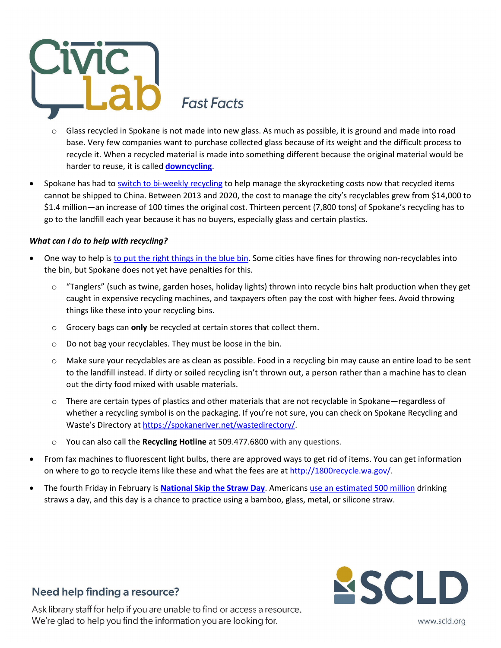

**Fast Facts** 

- o Glass recycled in Spokane is not made into new glass. As much as possible, it is ground and made into road base. Very few companies want to purchase collected glass because of its weight and the difficult process to recycle it. When a recycled material is made into something different because the original material would be harder to reuse, it is called **[downcycling](https://oceana.org/blog/recycling-myth-month-plastic-bottle-you-thought-you-recycled-may-have-been-downcycled-instead/)**.
- Spokane has had to [switch to bi-weekly recycling](https://www.krem.com/article/news/local/spokane-county/spokane-recycling-pickup-biweekly-may-2021/293-9e4d27f7-805b-46ef-94b2-d8d579d95e00) to help manage the skyrocketing costs now that recycled items cannot be shipped to China. Between 2013 and 2020, the cost to manage the city's recyclables grew from \$14,000 to \$1.4 million—an increase of 100 times the original cost. Thirteen percent (7,800 tons) of Spokane's recycling has to go to the landfill each year because it has no buyers, especially glass and certain plastics.

### *What can I do to help with recycling?*

- One way to help is [to put the right things in the blue bin.](https://www.spokanecounty.org/4194/Lets-Talk-Trash) Some cities have fines for throwing non-recyclables into the bin, but Spokane does not yet have penalties for this.
	- o "Tanglers" (such as twine, garden hoses, holiday lights) thrown into recycle bins halt production when they get caught in expensive recycling machines, and taxpayers often pay the cost with higher fees. Avoid throwing things like these into your recycling bins.
	- o Grocery bags can **only** be recycled at certain stores that collect them.
	- o Do not bag your recyclables. They must be loose in the bin.
	- o Make sure your recyclables are as clean as possible. Food in a recycling bin may cause an entire load to be sent to the landfill instead. If dirty or soiled recycling isn't thrown out, a person rather than a machine has to clean out the dirty food mixed with usable materials.
	- $\circ$  There are certain types of plastics and other materials that are not recyclable in Spokane—regardless of whether a recycling symbol is on the packaging. If you're not sure, you can check on Spokane Recycling and Waste's Directory a[t https://spokaneriver.net/wastedirectory/.](https://spokaneriver.net/wastedirectory/)
	- o You can also call the **Recycling Hotline** at 509.477.6800 with any questions.
- From fax machines to fluorescent light bulbs, there are approved ways to get rid of items. You can get information on where to go to recycle items like these and what the fees are at [http://1800recycle.wa.gov/.](http://1800recycle.wa.gov/)
- The fourth Friday in February is **[National Skip the](https://nationaltoday.com/national-skip-the-straw-day/) Straw Day**. American[s use an estimated 500 million](https://www.nps.gov/articles/straw-free.htm#:%7E:text=Milo%20reported%20through%20his%20initial,million%20drinking%20straws%20every%20day.) drinking straws a day, and this day is a chance to practice using a bamboo, glass, metal, or silicone straw.



### **Need help finding a resource?**

Ask library staff for help if you are unable to find or access a resource. We're glad to help you find the information you are looking for.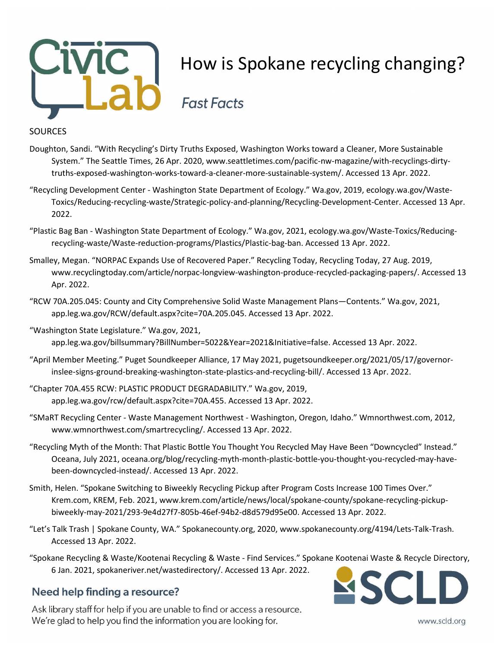

### **SOURCES**

- Doughton, Sandi. "With Recycling's Dirty Truths Exposed, Washington Works toward a Cleaner, More Sustainable System." The Seattle Times, 26 Apr. 2020, www.seattletimes.com/pacific-nw-magazine/with-recyclings-dirtytruths-exposed-washington-works-toward-a-cleaner-more-sustainable-system/. Accessed 13 Apr. 2022.
- "Recycling Development Center Washington State Department of Ecology." Wa.gov, 2019, ecology.wa.gov/Waste-Toxics/Reducing-recycling-waste/Strategic-policy-and-planning/Recycling-Development-Center. Accessed 13 Apr. 2022.
- "Plastic Bag Ban Washington State Department of Ecology." Wa.gov, 2021, ecology.wa.gov/Waste-Toxics/Reducingrecycling-waste/Waste-reduction-programs/Plastics/Plastic-bag-ban. Accessed 13 Apr. 2022.
- Smalley, Megan. "NORPAC Expands Use of Recovered Paper." Recycling Today, Recycling Today, 27 Aug. 2019, www.recyclingtoday.com/article/norpac-longview-washington-produce-recycled-packaging-papers/. Accessed 13 Apr. 2022.
- "RCW 70A.205.045: County and City Comprehensive Solid Waste Management Plans—Contents." Wa.gov, 2021, app.leg.wa.gov/RCW/default.aspx?cite=70A.205.045. Accessed 13 Apr. 2022.
- "Washington State Legislature." Wa.gov, 2021, app.leg.wa.gov/billsummary?BillNumber=5022&Year=2021&Initiative=false. Accessed 13 Apr. 2022.
- "April Member Meeting." Puget Soundkeeper Alliance, 17 May 2021, pugetsoundkeeper.org/2021/05/17/governorinslee-signs-ground-breaking-washington-state-plastics-and-recycling-bill/. Accessed 13 Apr. 2022.
- "Chapter 70A.455 RCW: PLASTIC PRODUCT DEGRADABILITY." Wa.gov, 2019, app.leg.wa.gov/rcw/default.aspx?cite=70A.455. Accessed 13 Apr. 2022.
- "SMaRT Recycling Center Waste Management Northwest Washington, Oregon, Idaho." Wmnorthwest.com, 2012, www.wmnorthwest.com/smartrecycling/. Accessed 13 Apr. 2022.
- "Recycling Myth of the Month: That Plastic Bottle You Thought You Recycled May Have Been "Downcycled" Instead." Oceana, July 2021, oceana.org/blog/recycling-myth-month-plastic-bottle-you-thought-you-recycled-may-havebeen-downcycled-instead/. Accessed 13 Apr. 2022.
- Smith, Helen. "Spokane Switching to Biweekly Recycling Pickup after Program Costs Increase 100 Times Over." Krem.com, KREM, Feb. 2021, www.krem.com/article/news/local/spokane-county/spokane-recycling-pickupbiweekly-may-2021/293-9e4d27f7-805b-46ef-94b2-d8d579d95e00. Accessed 13 Apr. 2022.
- "Let's Talk Trash | Spokane County, WA." Spokanecounty.org, 2020, www.spokanecounty.org/4194/Lets-Talk-Trash. Accessed 13 Apr. 2022.
- "Spokane Recycling & Waste/Kootenai Recycling & Waste Find Services." Spokane Kootenai Waste & Recycle Directory, 6 Jan. 2021, spokaneriver.net/wastedirectory/. Accessed 13 Apr. 2022.

### **Need help finding a resource?**

Ask library staff for help if you are unable to find or access a resource. We're glad to help you find the information you are looking for.



www.scld.org